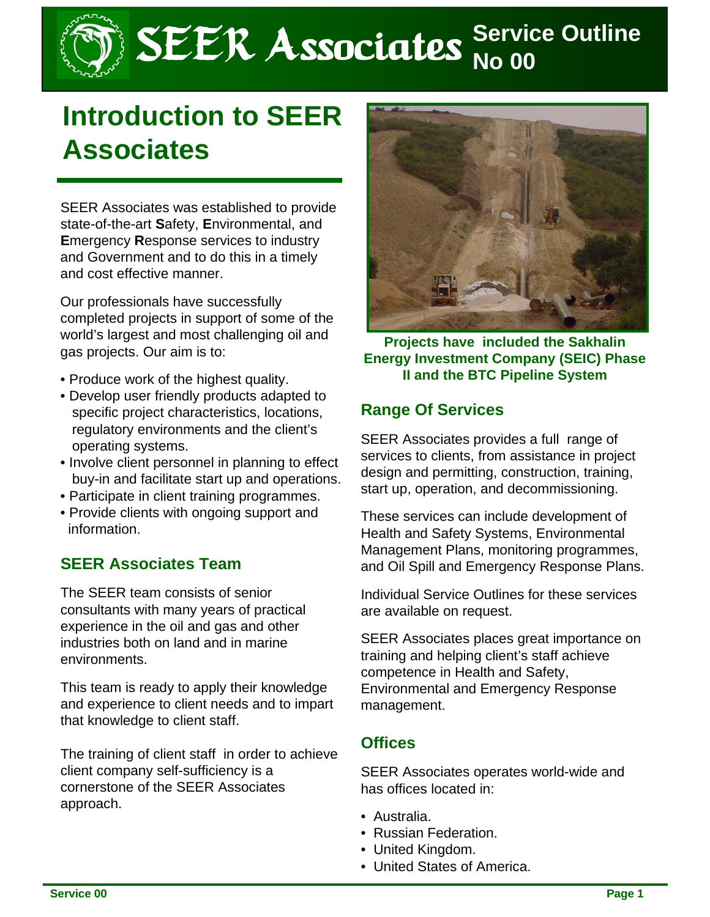# SEER Associates **Service Outline**

# **Introduction to SEER Associates**

SEER Associates was established to provide state-of-the-art **S**afety, **E**nvironmental, and **E**mergency **R**esponse services to industry and Government and to do this in a timely and cost effective manner.

Our professionals have successfully completed projects in support of some of the world's largest and most challenging oil and gas projects. Our aim is to:

- Produce work of the highest quality.
- Develop user friendly products adapted to specific project characteristics, locations, regulatory environments and the client's operating systems.
- Involve client personnel in planning to effect buy-in and facilitate start up and operations.
- Participate in client training programmes.
- Provide clients with ongoing support and information.

#### **SEER Associates Team**

The SEER team consists of senior consultants with many years of practical experience in the oil and gas and other industries both on land and in marine environments.

This team is ready to apply their knowledge and experience to client needs and to impart that knowledge to client staff.

The training of client staff in order to achieve client company self-sufficiency is a cornerstone of the SEER Associates approach.



**Projects have included the Sakhalin Energy Investment Company (SEIC) Phase II and the BTC Pipeline System**

#### **Range Of Services**

SEER Associates provides a full range of services to clients, from assistance in project design and permitting, construction, training, start up, operation, and decommissioning.

These services can include development of Health and Safety Systems, Environmental Management Plans, monitoring programmes, and Oil Spill and Emergency Response Plans.

Individual Service Outlines for these services are available on request.

SEER Associates places great importance on training and helping client's staff achieve competence in Health and Safety, Environmental and Emergency Response management.

#### **Offices**

SEER Associates operates world-wide and has offices located in:

- Australia.
- Russian Federation.
- United Kingdom.
- United States of America.